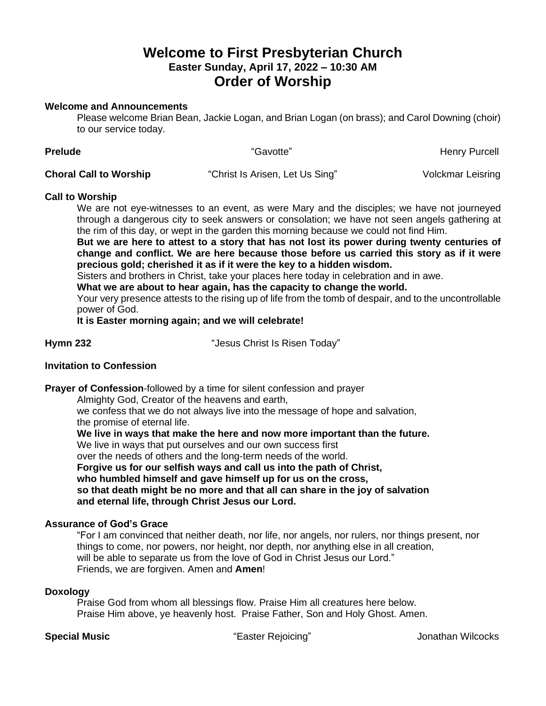# **Welcome to First Presbyterian Church Easter Sunday, April 17, 2022 – 10:30 AM Order of Worship**

### **Welcome and Announcements**

Please welcome Brian Bean, Jackie Logan, and Brian Logan (on brass); and Carol Downing (choir) to our service today.

| <b>Prelude</b>                | "Gavotte"                       | <b>Henry Purcell</b>     |
|-------------------------------|---------------------------------|--------------------------|
| <b>Choral Call to Worship</b> | "Christ Is Arisen, Let Us Sing" | <b>Volckmar Leisring</b> |

### **Call to Worship**

We are not eye-witnesses to an event, as were Mary and the disciples; we have not journeyed through a dangerous city to seek answers or consolation; we have not seen angels gathering at the rim of this day, or wept in the garden this morning because we could not find Him.

**But we are here to attest to a story that has not lost its power during twenty centuries of change and conflict. We are here because those before us carried this story as if it were precious gold; cherished it as if it were the key to a hidden wisdom.**

Sisters and brothers in Christ, take your places here today in celebration and in awe.

**What we are about to hear again, has the capacity to change the world.**

Your very presence attests to the rising up of life from the tomb of despair, and to the uncontrollable power of God.

**It is Easter morning again; and we will celebrate!**

**Hymn 232** "Jesus Christ Is Risen Today"

### **Invitation to Confession**

**Prayer of Confession**-followed by a time for silent confession and prayer

Almighty God, Creator of the heavens and earth,

we confess that we do not always live into the message of hope and salvation, the promise of eternal life.

**We live in ways that make the here and now more important than the future.**

We live in ways that put ourselves and our own success first

over the needs of others and the long-term needs of the world.

**Forgive us for our selfish ways and call us into the path of Christ,**

**who humbled himself and gave himself up for us on the cross,**

**so that death might be no more and that all can share in the joy of salvation and eternal life, through Christ Jesus our Lord.**

## **Assurance of God's Grace**

"For I am convinced that neither death, nor life, nor angels, nor rulers, nor things present, nor things to come, nor powers, nor height, nor depth, nor anything else in all creation, will be able to separate us from the love of God in Christ Jesus our Lord." Friends, we are forgiven. Amen and **Amen**!

### **Doxology**

Praise God from whom all blessings flow. Praise Him all creatures here below. Praise Him above, ye heavenly host. Praise Father, Son and Holy Ghost. Amen.

**Special Music Constructs Constructs Constructs Constructs Easter Rejoicing Constructs Constructs Constructs**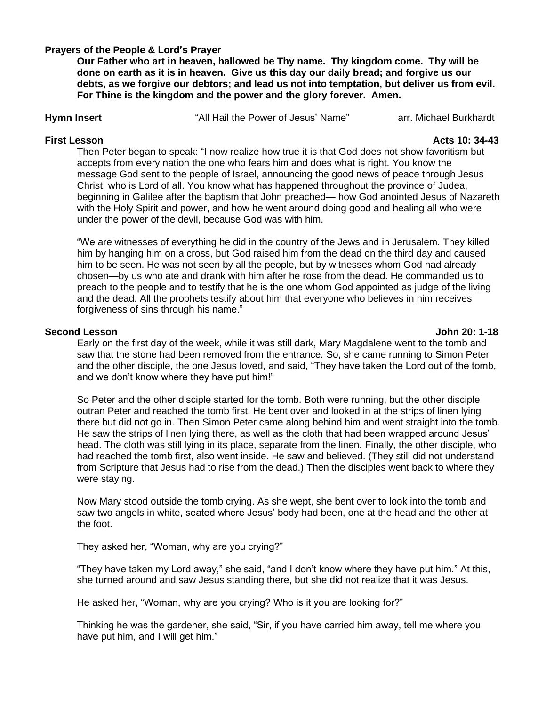### **Prayers of the People & Lord's Prayer**

**Our Father who art in heaven, hallowed be Thy name. Thy kingdom come. Thy will be done on earth as it is in heaven. Give us this day our daily bread; and forgive us our debts, as we forgive our debtors; and lead us not into temptation, but deliver us from evil. For Thine is the kingdom and the power and the glory forever. Amen.**

**Hymn Insert** The State of Hail the Power of Jesus' Name" arr. Michael Burkhardt

#### **First Lesson Acts 10: 34-43**

Then Peter began to speak: "I now realize how true it is that God does not show favoritism but accepts from every nation the one who fears him and does what is right. You know the message God sent to the people of Israel, announcing the good news of peace through Jesus Christ, who is Lord of all. You know what has happened throughout the province of Judea, beginning in Galilee after the baptism that John preached— how God anointed Jesus of Nazareth with the Holy Spirit and power, and how he went around doing good and healing all who were under the power of the devil, because God was with him.

"We are witnesses of everything he did in the country of the Jews and in Jerusalem. They killed him by hanging him on a cross, but God raised him from the dead on the third day and caused him to be seen. He was not seen by all the people, but by witnesses whom God had already chosen—by us who ate and drank with him after he rose from the dead. He commanded us to preach to the people and to testify that he is the one whom God appointed as judge of the living and the dead. All the prophets testify about him that everyone who believes in him receives forgiveness of sins through his name."

### **Second Lesson John 20: 1-18**

Early on the first day of the week, while it was still dark, Mary Magdalene went to the tomb and saw that the stone had been removed from the entrance. So, she came running to Simon Peter and the other disciple, the one Jesus loved, and said, "They have taken the Lord out of the tomb, and we don't know where they have put him!"

So Peter and the other disciple started for the tomb. Both were running, but the other disciple outran Peter and reached the tomb first. He bent over and looked in at the strips of linen lying there but did not go in. Then Simon Peter came along behind him and went straight into the tomb. He saw the strips of linen lying there, as well as the cloth that had been wrapped around Jesus' head. The cloth was still lying in its place, separate from the linen. Finally, the other disciple, who had reached the tomb first, also went inside. He saw and believed. (They still did not understand from Scripture that Jesus had to rise from the dead.) Then the disciples went back to where they were staying.

Now Mary stood outside the tomb crying. As she wept, she bent over to look into the tomb and saw two angels in white, seated where Jesus' body had been, one at the head and the other at the foot.

They asked her, "Woman, why are you crying?"

"They have taken my Lord away," she said, "and I don't know where they have put him." At this, she turned around and saw Jesus standing there, but she did not realize that it was Jesus.

He asked her, "Woman, why are you crying? Who is it you are looking for?"

Thinking he was the gardener, she said, "Sir, if you have carried him away, tell me where you have put him, and I will get him."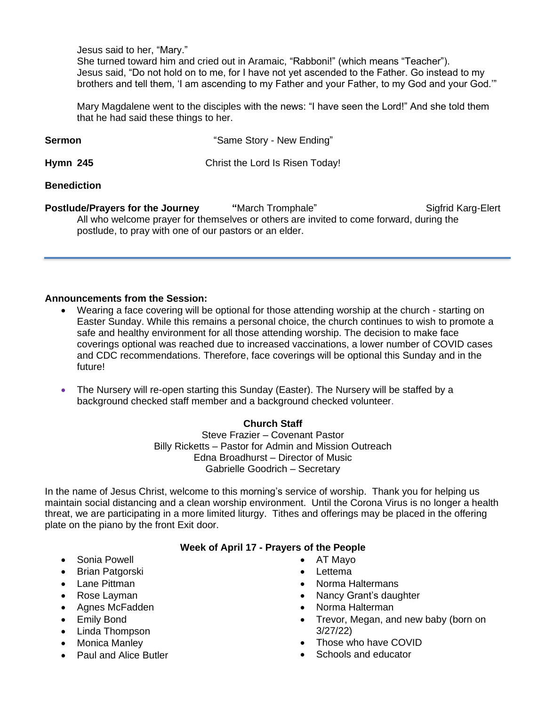Jesus said to her, "Mary."

She turned toward him and cried out in Aramaic, "Rabboni!" (which means "Teacher"). Jesus said, "Do not hold on to me, for I have not yet ascended to the Father. Go instead to my brothers and tell them, 'I am ascending to my Father and your Father, to my God and your God.'"

Mary Magdalene went to the disciples with the news: "I have seen the Lord!" And she told them that he had said these things to her.

| <b>Sermon</b> | "Same Story - New Ending" |
|---------------|---------------------------|
|---------------|---------------------------|

**Hymn 245** Christ the Lord Is Risen Today!

# **Benediction**

**Postlude/Prayers for the Journey "** "March Tromphale" Sigfrid Karg-Elert All who welcome prayer for themselves or others are invited to come forward, during the postlude, to pray with one of our pastors or an elder.

# **Announcements from the Session:**

- Wearing a face covering will be optional for those attending worship at the church starting on Easter Sunday. While this remains a personal choice, the church continues to wish to promote a safe and healthy environment for all those attending worship. The decision to make face coverings optional was reached due to increased vaccinations, a lower number of COVID cases and CDC recommendations. Therefore, face coverings will be optional this Sunday and in the future!
- The Nursery will re-open starting this Sunday (Easter). The Nursery will be staffed by a background checked staff member and a background checked volunteer.

# **Church Staff**

Steve Frazier – Covenant Pastor Billy Ricketts – Pastor for Admin and Mission Outreach Edna Broadhurst – Director of Music Gabrielle Goodrich – Secretary

In the name of Jesus Christ, welcome to this morning's service of worship. Thank you for helping us maintain social distancing and a clean worship environment. Until the Corona Virus is no longer a health threat, we are participating in a more limited liturgy. Tithes and offerings may be placed in the offering plate on the piano by the front Exit door.

# **Week of April 17 - Prayers of the People**

- Sonia Powell
- Brian Patgorski
- Lane Pittman
- Rose Layman
- Agnes McFadden
- Emily Bond
- Linda Thompson
- Monica Manley
- Paul and Alice Butler
- AT Mayo • Lettema
- Norma Haltermans
- Nancy Grant's daughter
- Norma Halterman
- Trevor, Megan, and new baby (born on 3/27/22)
- Those who have COVID
- Schools and educator